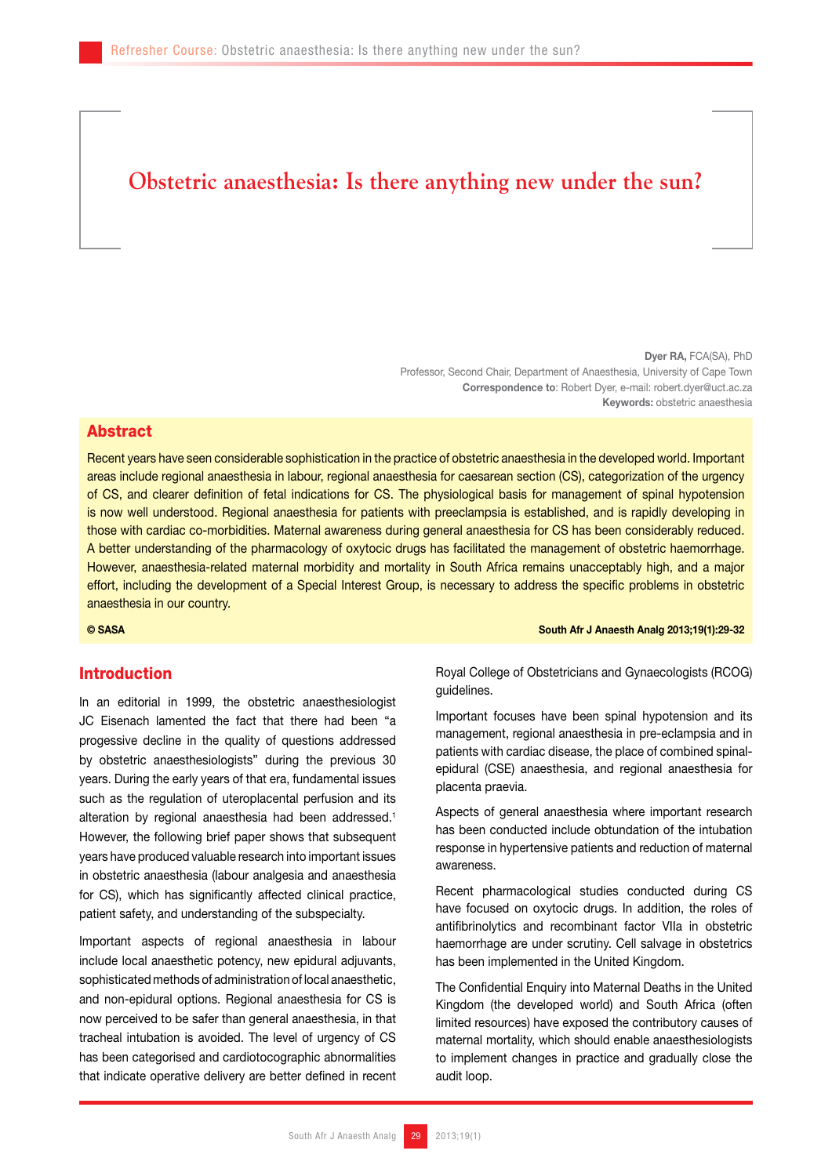# **Obstetric anaesthesia: Is there anything new under the sun?**

Dyer RA, FCA(SA), PhD Professor, Second Chair, Department of Anaesthesia, University of Cape Town Correspondence to: Robert Dyer, e-mail: robert.dyer@uct.ac.za Keywords: obstetric anaesthesia

### Abstract

Recent years have seen considerable sophistication in the practice of obstetric anaesthesia in the developed world. Important areas include regional anaesthesia in labour, regional anaesthesia for caesarean section (CS), categorization of the urgency of CS, and clearer definition of fetal indications for CS. The physiological basis for management of spinal hypotension is now well understood. Regional anaesthesia for patients with preeclampsia is established, and is rapidly developing in those with cardiac co-morbidities. Maternal awareness during general anaesthesia for CS has been considerably reduced. A better understanding of the pharmacology of oxytocic drugs has facilitated the management of obstetric haemorrhage. However, anaesthesia-related maternal morbidity and mortality in South Africa remains unacceptably high, and a major effort, including the development of a Special Interest Group, is necessary to address the specific problems in obstetric anaesthesia in our country.

## Introduction

In an editorial in 1999, the obstetric anaesthesiologist JC Eisenach lamented the fact that there had been "a progessive decline in the quality of questions addressed by obstetric anaesthesiologists" during the previous 30 years. During the early years of that era, fundamental issues such as the regulation of uteroplacental perfusion and its alteration by regional anaesthesia had been addressed.<sup>1</sup> However, the following brief paper shows that subsequent years have produced valuable research into important issues in obstetric anaesthesia (labour analgesia and anaesthesia for CS), which has significantly affected clinical practice, patient safety, and understanding of the subspecialty.

Important aspects of regional anaesthesia in labour include local anaesthetic potency, new epidural adjuvants, sophisticated methods of administration of local anaesthetic, and non-epidural options. Regional anaesthesia for CS is now perceived to be safer than general anaesthesia, in that tracheal intubation is avoided. The level of urgency of CS has been categorised and cardiotocographic abnormalities that indicate operative delivery are better defined in recent

© SASA South Afr J Anaesth Analg 2013;19(1):29-32

Royal College of Obstetricians and Gynaecologists (RCOG) guidelines.

Important focuses have been spinal hypotension and its management, regional anaesthesia in pre-eclampsia and in patients with cardiac disease, the place of combined spinalepidural (CSE) anaesthesia, and regional anaesthesia for placenta praevia.

Aspects of general anaesthesia where important research has been conducted include obtundation of the intubation response in hypertensive patients and reduction of maternal awareness.

Recent pharmacological studies conducted during CS have focused on oxytocic drugs. In addition, the roles of antifibrinolytics and recombinant factor VIIa in obstetric haemorrhage are under scrutiny. Cell salvage in obstetrics has been implemented in the United Kingdom.

The Confidential Enquiry into Maternal Deaths in the United Kingdom (the developed world) and South Africa (often limited resources) have exposed the contributory causes of maternal mortality, which should enable anaesthesiologists to implement changes in practice and gradually close the audit loop.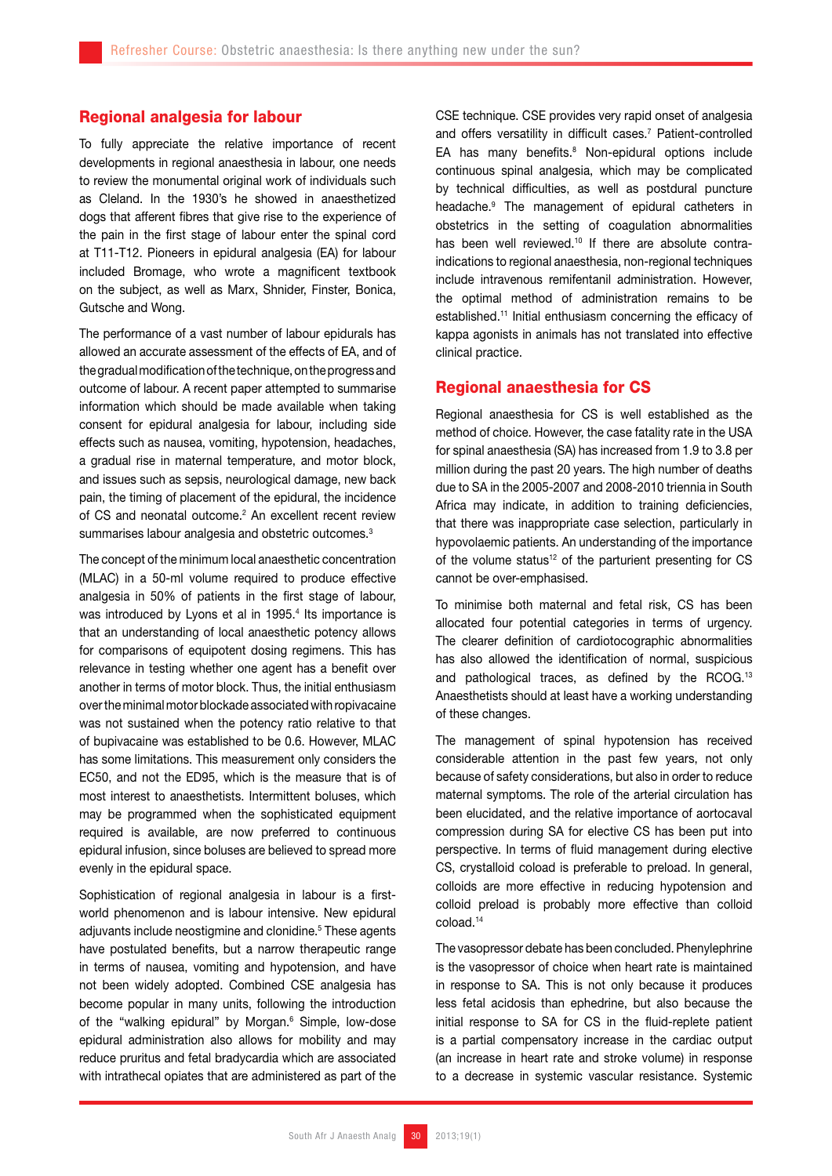## Regional analgesia for labour

To fully appreciate the relative importance of recent developments in regional anaesthesia in labour, one needs to review the monumental original work of individuals such as Cleland. In the 1930's he showed in anaesthetized dogs that afferent fibres that give rise to the experience of the pain in the first stage of labour enter the spinal cord at T11-T12. Pioneers in epidural analgesia (EA) for labour included Bromage, who wrote a magnificent textbook on the subject, as well as Marx, Shnider, Finster, Bonica, Gutsche and Wong.

The performance of a vast number of labour epidurals has allowed an accurate assessment of the effects of EA, and of the gradual modification of the technique, on the progress and outcome of labour. A recent paper attempted to summarise information which should be made available when taking consent for epidural analgesia for labour, including side effects such as nausea, vomiting, hypotension, headaches, a gradual rise in maternal temperature, and motor block, and issues such as sepsis, neurological damage, new back pain, the timing of placement of the epidural, the incidence of CS and neonatal outcome.<sup>2</sup> An excellent recent review summarises labour analgesia and obstetric outcomes.<sup>3</sup>

The concept of the minimum local anaesthetic concentration (MLAC) in a 50-ml volume required to produce effective analgesia in 50% of patients in the first stage of labour, was introduced by Lyons et al in 1995.<sup>4</sup> Its importance is that an understanding of local anaesthetic potency allows for comparisons of equipotent dosing regimens. This has relevance in testing whether one agent has a benefit over another in terms of motor block. Thus, the initial enthusiasm over the minimal motor blockade associated with ropivacaine was not sustained when the potency ratio relative to that of bupivacaine was established to be 0.6. However, MLAC has some limitations. This measurement only considers the EC50, and not the ED95, which is the measure that is of most interest to anaesthetists. Intermittent boluses, which may be programmed when the sophisticated equipment required is available, are now preferred to continuous epidural infusion, since boluses are believed to spread more evenly in the epidural space.

Sophistication of regional analgesia in labour is a firstworld phenomenon and is labour intensive. New epidural adjuvants include neostigmine and clonidine.<sup>5</sup> These agents have postulated benefits, but a narrow therapeutic range in terms of nausea, vomiting and hypotension, and have not been widely adopted. Combined CSE analgesia has become popular in many units, following the introduction of the "walking epidural" by Morgan.<sup>6</sup> Simple, low-dose epidural administration also allows for mobility and may reduce pruritus and fetal bradycardia which are associated with intrathecal opiates that are administered as part of the CSE technique. CSE provides very rapid onset of analgesia and offers versatility in difficult cases.<sup>7</sup> Patient-controlled EA has many benefits.8 Non-epidural options include continuous spinal analgesia, which may be complicated by technical difficulties, as well as postdural puncture headache.9 The management of epidural catheters in obstetrics in the setting of coagulation abnormalities has been well reviewed.<sup>10</sup> If there are absolute contraindications to regional anaesthesia, non-regional techniques include intravenous remifentanil administration. However, the optimal method of administration remains to be established.11 Initial enthusiasm concerning the efficacy of kappa agonists in animals has not translated into effective clinical practice.

### Regional anaesthesia for CS

Regional anaesthesia for CS is well established as the method of choice. However, the case fatality rate in the USA for spinal anaesthesia (SA) has increased from 1.9 to 3.8 per million during the past 20 years. The high number of deaths due to SA in the 2005-2007 and 2008-2010 triennia in South Africa may indicate, in addition to training deficiencies, that there was inappropriate case selection, particularly in hypovolaemic patients. An understanding of the importance of the volume status<sup>12</sup> of the parturient presenting for  $CS$ cannot be over-emphasised.

To minimise both maternal and fetal risk, CS has been allocated four potential categories in terms of urgency. The clearer definition of cardiotocographic abnormalities has also allowed the identification of normal, suspicious and pathological traces, as defined by the RCOG.<sup>13</sup> Anaesthetists should at least have a working understanding of these changes.

The management of spinal hypotension has received considerable attention in the past few years, not only because of safety considerations, but also in order to reduce maternal symptoms. The role of the arterial circulation has been elucidated, and the relative importance of aortocaval compression during SA for elective CS has been put into perspective. In terms of fluid management during elective CS, crystalloid coload is preferable to preload. In general, colloids are more effective in reducing hypotension and colloid preload is probably more effective than colloid coload.14

The vasopressor debate has been concluded. Phenylephrine is the vasopressor of choice when heart rate is maintained in response to SA. This is not only because it produces less fetal acidosis than ephedrine, but also because the initial response to SA for CS in the fluid-replete patient is a partial compensatory increase in the cardiac output (an increase in heart rate and stroke volume) in response to a decrease in systemic vascular resistance. Systemic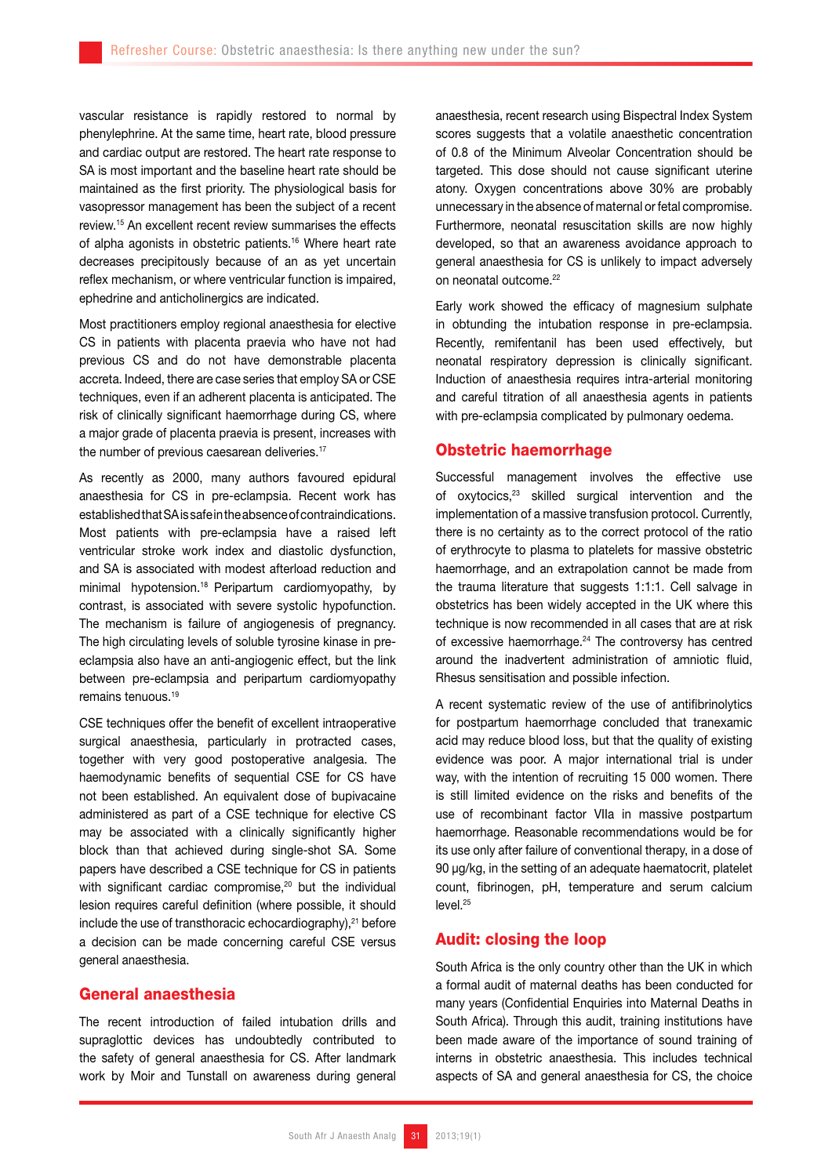vascular resistance is rapidly restored to normal by phenylephrine. At the same time, heart rate, blood pressure and cardiac output are restored. The heart rate response to SA is most important and the baseline heart rate should be maintained as the first priority. The physiological basis for vasopressor management has been the subject of a recent review.15 An excellent recent review summarises the effects of alpha agonists in obstetric patients.16 Where heart rate decreases precipitously because of an as yet uncertain reflex mechanism, or where ventricular function is impaired, ephedrine and anticholinergics are indicated.

Most practitioners employ regional anaesthesia for elective CS in patients with placenta praevia who have not had previous CS and do not have demonstrable placenta accreta. Indeed, there are case series that employ SA or CSE techniques, even if an adherent placenta is anticipated. The risk of clinically significant haemorrhage during CS, where a major grade of placenta praevia is present, increases with the number of previous caesarean deliveries.<sup>17</sup>

As recently as 2000, many authors favoured epidural anaesthesia for CS in pre-eclampsia. Recent work has established that SA is safe in the absence of contraindications. Most patients with pre-eclampsia have a raised left ventricular stroke work index and diastolic dysfunction, and SA is associated with modest afterload reduction and minimal hypotension.<sup>18</sup> Peripartum cardiomyopathy, by contrast, is associated with severe systolic hypofunction. The mechanism is failure of angiogenesis of pregnancy. The high circulating levels of soluble tyrosine kinase in preeclampsia also have an anti-angiogenic effect, but the link between pre-eclampsia and peripartum cardiomyopathy remains tenuous.<sup>19</sup>

CSE techniques offer the benefit of excellent intraoperative surgical anaesthesia, particularly in protracted cases, together with very good postoperative analgesia. The haemodynamic benefits of sequential CSE for CS have not been established. An equivalent dose of bupivacaine administered as part of a CSE technique for elective CS may be associated with a clinically significantly higher block than that achieved during single-shot SA. Some papers have described a CSE technique for CS in patients with significant cardiac compromise,<sup>20</sup> but the individual lesion requires careful definition (where possible, it should include the use of transthoracic echocardiography), $21$  before a decision can be made concerning careful CSE versus general anaesthesia.

#### General anaesthesia

The recent introduction of failed intubation drills and supraglottic devices has undoubtedly contributed to the safety of general anaesthesia for CS. After landmark work by Moir and Tunstall on awareness during general

anaesthesia, recent research using Bispectral Index System scores suggests that a volatile anaesthetic concentration of 0.8 of the Minimum Alveolar Concentration should be targeted. This dose should not cause significant uterine atony. Oxygen concentrations above 30% are probably unnecessary in the absence of maternal or fetal compromise. Furthermore, neonatal resuscitation skills are now highly developed, so that an awareness avoidance approach to general anaesthesia for CS is unlikely to impact adversely on neonatal outcome.<sup>22</sup>

Early work showed the efficacy of magnesium sulphate in obtunding the intubation response in pre-eclampsia. Recently, remifentanil has been used effectively, but neonatal respiratory depression is clinically significant. Induction of anaesthesia requires intra-arterial monitoring and careful titration of all anaesthesia agents in patients with pre-eclampsia complicated by pulmonary oedema.

## Obstetric haemorrhage

Successful management involves the effective use of oxytocics,<sup>23</sup> skilled surgical intervention and the implementation of a massive transfusion protocol. Currently, there is no certainty as to the correct protocol of the ratio of erythrocyte to plasma to platelets for massive obstetric haemorrhage, and an extrapolation cannot be made from the trauma literature that suggests 1:1:1. Cell salvage in obstetrics has been widely accepted in the UK where this technique is now recommended in all cases that are at risk of excessive haemorrhage.<sup>24</sup> The controversy has centred around the inadvertent administration of amniotic fluid, Rhesus sensitisation and possible infection.

A recent systematic review of the use of antifibrinolytics for postpartum haemorrhage concluded that tranexamic acid may reduce blood loss, but that the quality of existing evidence was poor. A major international trial is under way, with the intention of recruiting 15 000 women. There is still limited evidence on the risks and benefits of the use of recombinant factor VIIa in massive postpartum haemorrhage. Reasonable recommendations would be for its use only after failure of conventional therapy, in a dose of 90 µg/kg, in the setting of an adequate haematocrit, platelet count, fibrinogen, pH, temperature and serum calcium level.<sup>25</sup>

## Audit: closing the loop

South Africa is the only country other than the UK in which a formal audit of maternal deaths has been conducted for many years (Confidential Enquiries into Maternal Deaths in South Africa). Through this audit, training institutions have been made aware of the importance of sound training of interns in obstetric anaesthesia. This includes technical aspects of SA and general anaesthesia for CS, the choice